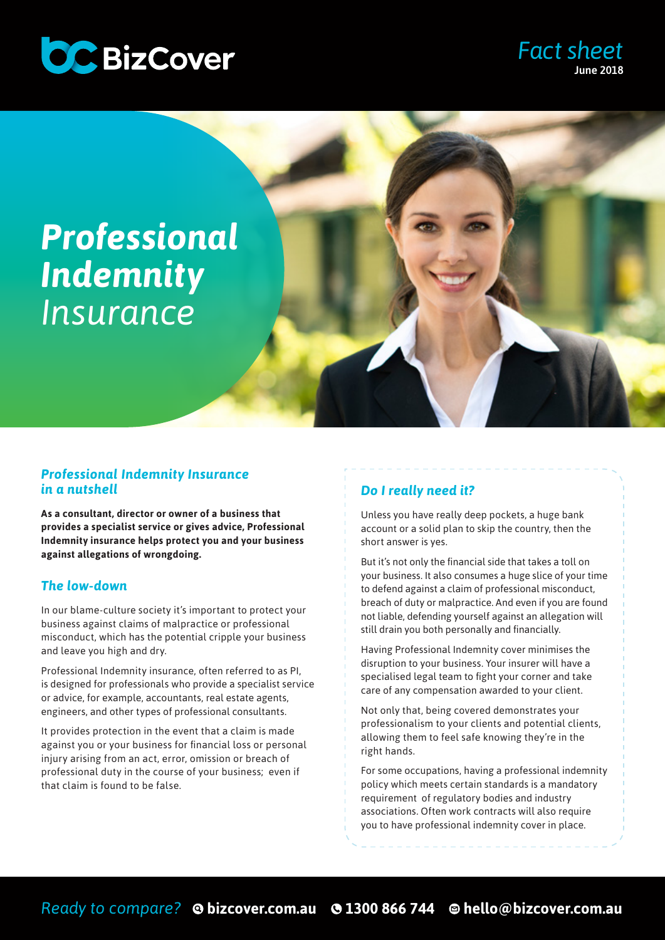

### *Fact sheet* June 2018

# *Professional Indemnity Insurance*

#### *Professional Indemnity Insurance in a nutshell*

**As a consultant, director or owner of a business that provides a specialist service or gives advice, Professional Indemnity insurance helps protect you and your business against allegations of wrongdoing.** 

#### *The low-down*

In our blame-culture society it's important to protect your business against claims of malpractice or professional misconduct, which has the potential cripple your business and leave you high and dry.

Professional Indemnity insurance, often referred to as PI, is designed for professionals who provide a specialist service or advice, for example, accountants, real estate agents, engineers, and other types of professional consultants.

It provides protection in the event that a claim is made against you or your business for financial loss or personal injury arising from an act, error, omission or breach of professional duty in the course of your business; even if that claim is found to be false.

#### *Do I really need it?*

Unless you have really deep pockets, a huge bank account or a solid plan to skip the country, then the short answer is yes.

But it's not only the financial side that takes a toll on your business. It also consumes a huge slice of your time to defend against a claim of professional misconduct, breach of duty or malpractice. And even if you are found not liable, defending yourself against an allegation will still drain you both personally and financially.

Having Professional Indemnity cover minimises the disruption to your business. Your insurer will have a specialised legal team to fight your corner and take care of any compensation awarded to your client.

Not only that, being covered demonstrates your professionalism to your clients and potential clients, allowing them to feel safe knowing they're in the right hands.

For some occupations, having a professional indemnity policy which meets certain standards is a mandatory requirement of regulatory bodies and industry associations. Often work contracts will also require you to have professional indemnity cover in place.